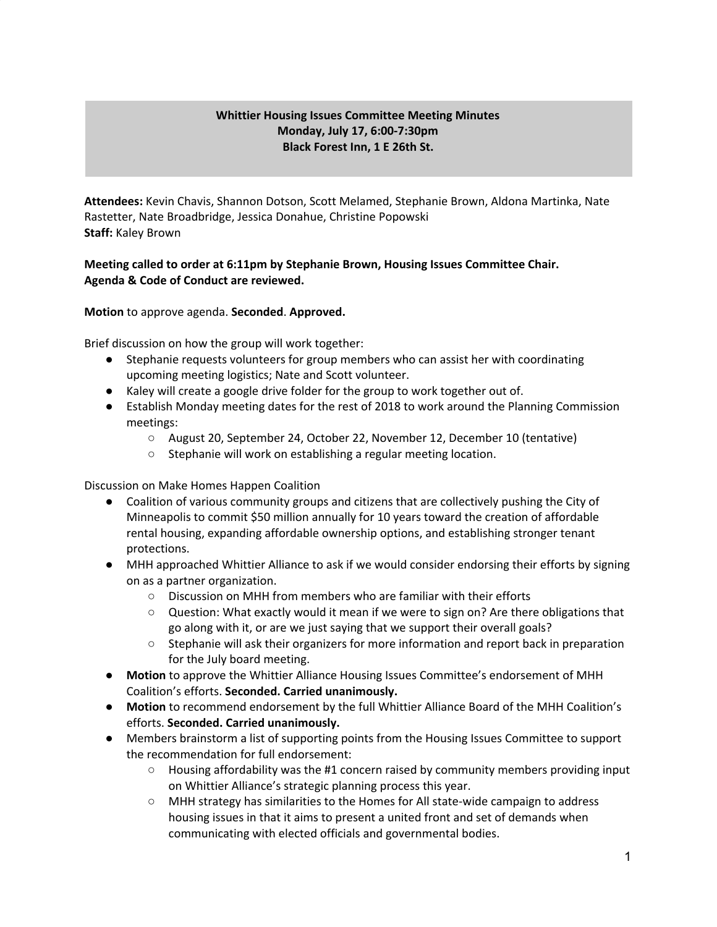## **Whittier Housing Issues Committee Meeting Minutes Monday, July 17, 6:00-7:30pm Black Forest Inn, 1 E 26th St.**

**Attendees:** Kevin Chavis, Shannon Dotson, Scott Melamed, Stephanie Brown, Aldona Martinka, Nate Rastetter, Nate Broadbridge, Jessica Donahue, Christine Popowski **Staff:** Kaley Brown

## **Meeting called to order at 6:11pm by Stephanie Brown, Housing Issues Committee Chair. Agenda & Code of Conduct are reviewed.**

**Motion** to approve agenda. **Seconded**. **Approved.**

Brief discussion on how the group will work together:

- Stephanie requests volunteers for group members who can assist her with coordinating upcoming meeting logistics; Nate and Scott volunteer.
- Kaley will create a google drive folder for the group to work together out of.
- Establish Monday meeting dates for the rest of 2018 to work around the Planning Commission meetings:
	- August 20, September 24, October 22, November 12, December 10 (tentative)
	- Stephanie will work on establishing a regular meeting location.

Discussion on Make Homes Happen Coalition

- Coalition of various community groups and citizens that are collectively pushing the City of Minneapolis to commit \$50 million annually for 10 years toward the creation of affordable rental housing, expanding affordable ownership options, and establishing stronger tenant protections.
- MHH approached Whittier Alliance to ask if we would consider endorsing their efforts by signing on as a partner organization.
	- $\circ$  Discussion on MHH from members who are familiar with their efforts
	- Question: What exactly would it mean if we were to sign on? Are there obligations that go along with it, or are we just saying that we support their overall goals?
	- Stephanie will ask their organizers for more information and report back in preparation for the July board meeting.
- **● Motion** to approve the Whittier Alliance Housing Issues Committee's endorsement of MHH Coalition's efforts. **Seconded. Carried unanimously.**
- **● Motion** to recommend endorsement by the full Whittier Alliance Board of the MHH Coalition's efforts. **Seconded. Carried unanimously.**
- Members brainstorm a list of supporting points from the Housing Issues Committee to support the recommendation for full endorsement:
	- $\circ$  Housing affordability was the #1 concern raised by community members providing input on Whittier Alliance's strategic planning process this year.
	- MHH strategy has similarities to the Homes for All state-wide campaign to address housing issues in that it aims to present a united front and set of demands when communicating with elected officials and governmental bodies.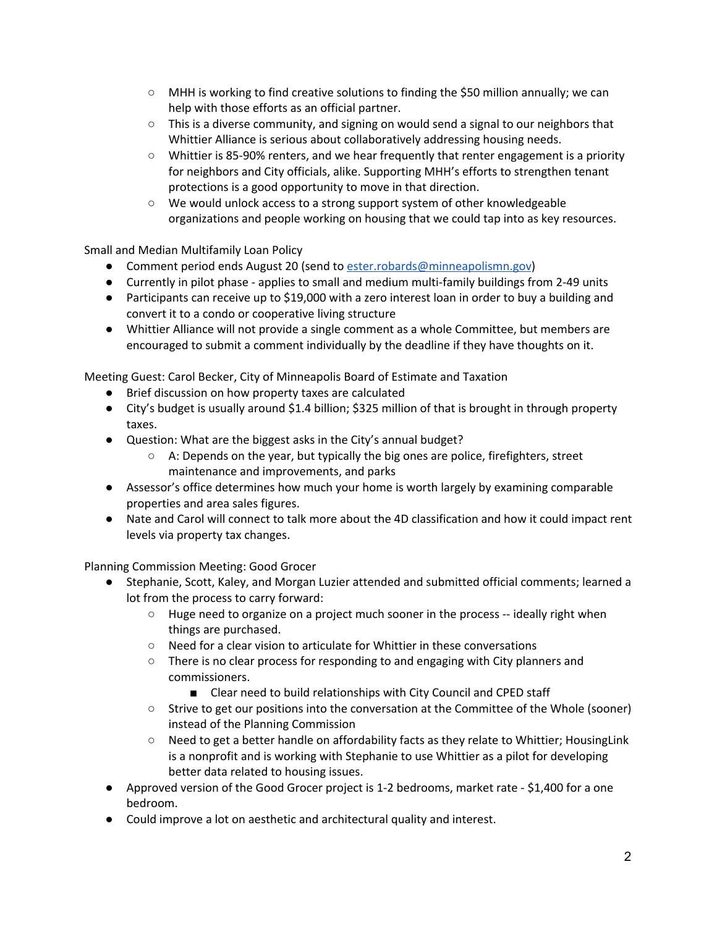- $\circ$  MHH is working to find creative solutions to finding the \$50 million annually; we can help with those efforts as an official partner.
- $\circ$  This is a diverse community, and signing on would send a signal to our neighbors that Whittier Alliance is serious about collaboratively addressing housing needs.
- Whittier is 85-90% renters, and we hear frequently that renter engagement is a priority for neighbors and City officials, alike. Supporting MHH's efforts to strengthen tenant protections is a good opportunity to move in that direction.
- We would unlock access to a strong support system of other knowledgeable organizations and people working on housing that we could tap into as key resources.

Small and Median Multifamily Loan Policy

- Comment period ends August 20 (send to [ester.robards@minneapolismn.gov](mailto:ester.robards@minneapolismn.gov))
- Currently in pilot phase applies to small and medium multi-family buildings from 2-49 units
- Participants can receive up to \$19,000 with a zero interest loan in order to buy a building and convert it to a condo or cooperative living structure
- Whittier Alliance will not provide a single comment as a whole Committee, but members are encouraged to submit a comment individually by the deadline if they have thoughts on it.

Meeting Guest: Carol Becker, City of Minneapolis Board of Estimate and Taxation

- Brief discussion on how property taxes are calculated
- City's budget is usually around \$1.4 billion; \$325 million of that is brought in through property taxes.
- Question: What are the biggest asks in the City's annual budget?
	- A: Depends on the year, but typically the big ones are police, firefighters, street maintenance and improvements, and parks
- Assessor's office determines how much your home is worth largely by examining comparable properties and area sales figures.
- Nate and Carol will connect to talk more about the 4D classification and how it could impact rent levels via property tax changes.

Planning Commission Meeting: Good Grocer

- Stephanie, Scott, Kaley, and Morgan Luzier attended and submitted official comments; learned a lot from the process to carry forward:
	- $\circ$  Huge need to organize on a project much sooner in the process -- ideally right when things are purchased.
	- Need for a clear vision to articulate for Whittier in these conversations
	- There is no clear process for responding to and engaging with City planners and commissioners.
		- Clear need to build relationships with City Council and CPED staff
	- Strive to get our positions into the conversation at the Committee of the Whole (sooner) instead of the Planning Commission
	- Need to get a better handle on affordability facts as they relate to Whittier; HousingLink is a nonprofit and is working with Stephanie to use Whittier as a pilot for developing better data related to housing issues.
- Approved version of the Good Grocer project is 1-2 bedrooms, market rate \$1,400 for a one bedroom.
- Could improve a lot on aesthetic and architectural quality and interest.